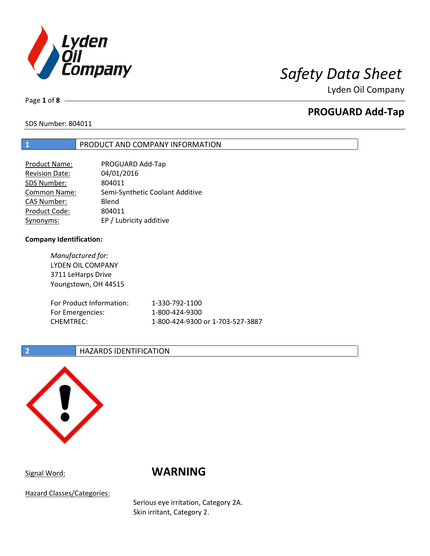

Page **1** of **8**

# **PROGUARD Add-Tap**

SDS Number: 804011

### **1** PRODUCT AND COMPANY INFORMATION

| PROGUARD Add-Tap                |
|---------------------------------|
| 04/01/2016                      |
| 804011                          |
| Semi-Synthetic Coolant Additive |
| Blend                           |
| 804011                          |
| EP / Lubricity additive         |
|                                 |

### **Company Identification:**

*Manufactured for:* LYDEN OIL COMPANY 3711 LeHarps Drive Youngstown, OH 44515 For Product Information: 1-330-792-1100 For Emergencies: 1-800-424-9300 CHEMTREC: 1-800-424-9300 or 1-703-527-3887

### **2 HAZARDS IDENTIFICATION**



# Signal Word: **WARNING**

Hazard Classes/Categories:

Serious eye irritation, Category 2A. Skin irritant, Category 2.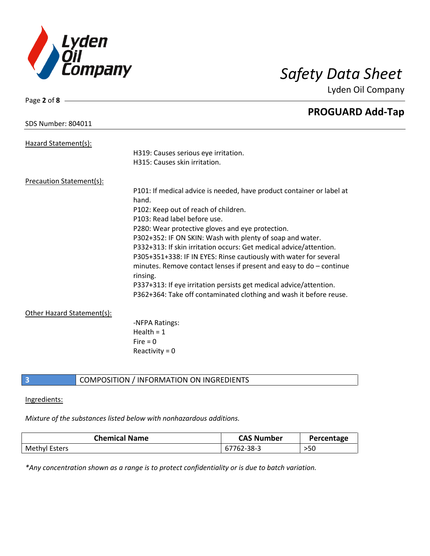

Page **2** of **8**

Lyden Oil Company

|                                 | <b>PROGUARD Add-Tap</b>                                                           |
|---------------------------------|-----------------------------------------------------------------------------------|
| <b>SDS Number: 804011</b>       |                                                                                   |
| Hazard Statement(s):            |                                                                                   |
|                                 | H319: Causes serious eye irritation.                                              |
|                                 | H315: Causes skin irritation.                                                     |
| <b>Precaution Statement(s):</b> |                                                                                   |
|                                 | P101: If medical advice is needed, have product container or label at<br>hand.    |
|                                 | P102: Keep out of reach of children.                                              |
|                                 | P103: Read label before use.                                                      |
|                                 | P280: Wear protective gloves and eye protection.                                  |
|                                 | P302+352: IF ON SKIN: Wash with plenty of soap and water.                         |
|                                 | P332+313: If skin irritation occurs: Get medical advice/attention.                |
|                                 | P305+351+338: IF IN EYES: Rinse cautiously with water for several                 |
|                                 | minutes. Remove contact lenses if present and easy to $do$ – continue<br>rinsing. |
|                                 | P337+313: If eye irritation persists get medical advice/attention.                |
|                                 | P362+364: Take off contaminated clothing and wash it before reuse.                |
| Other Hazard Statement(s):      |                                                                                   |
|                                 | -NFPA Ratings:                                                                    |
|                                 | Health = $1$                                                                      |
|                                 | Fire $= 0$                                                                        |
|                                 | Reactivity = $0$                                                                  |
|                                 |                                                                                   |

## **3** COMPOSITION / INFORMATION ON INGREDIENTS

### Ingredients:

### *Mixture of the substances listed below with nonhazardous additions.*

| <b>Chemical Name</b> | <b>CAS Number</b> | Percentage |
|----------------------|-------------------|------------|
| <b>Methyl Esters</b> | 67762-38-3        | >50        |

*\*Any concentration shown as a range is to protect confidentiality or is due to batch variation.*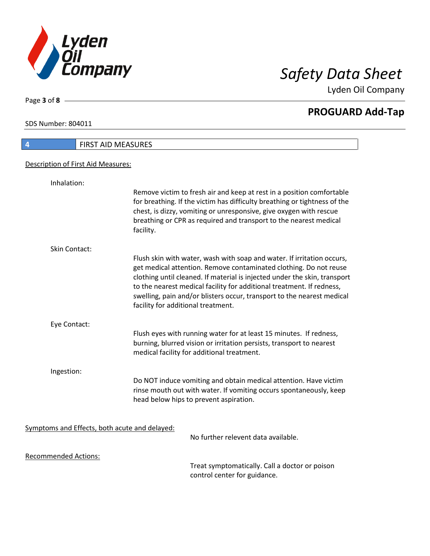

**PROGUARD Add-Tap**

SDS Number: 804011

Page **3** of **8**

# **4** FIRST AID MEASURES Description of First Aid Measures: Inhalation: Remove victim to fresh air and keep at rest in a position comfortable for breathing. If the victim has difficulty breathing or tightness of the chest, is dizzy, vomiting or unresponsive, give oxygen with rescue breathing or CPR as required and transport to the nearest medical facility. Skin Contact: Flush skin with water, wash with soap and water. If irritation occurs, get medical attention. Remove contaminated clothing. Do not reuse clothing until cleaned. If material is injected under the skin, transport to the nearest medical facility for additional treatment. If redness, swelling, pain and/or blisters occur, transport to the nearest medical facility for additional treatment. Eye Contact: Flush eyes with running water for at least 15 minutes. If redness, burning, blurred vision or irritation persists, transport to nearest medical facility for additional treatment. Ingestion: Do NOT induce vomiting and obtain medical attention. Have victim rinse mouth out with water. If vomiting occurs spontaneously, keep head below hips to prevent aspiration. Symptoms and Effects, both acute and delayed: No further relevent data available. Recommended Actions:

Treat symptomatically. Call a doctor or poison control center for guidance.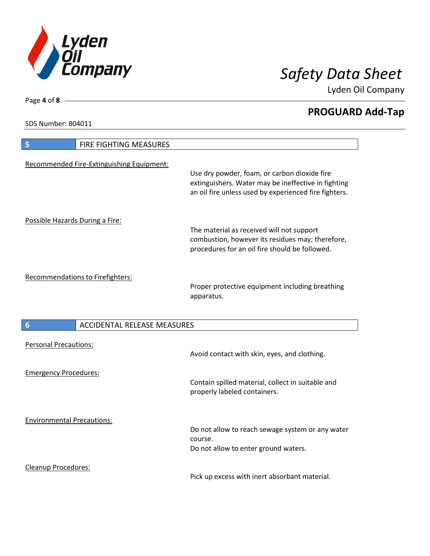

**PROGUARD Add-Tap**

SDS Number: 804011

Cleanup Procedures:

| <b>FIRE FIGHTING MEASURES</b><br>5                    |                                                                                                                                                              |
|-------------------------------------------------------|--------------------------------------------------------------------------------------------------------------------------------------------------------------|
| Recommended Fire-Extinguishing Equipment:             | Use dry powder, foam, or carbon dioxide fire<br>extinguishers. Water may be ineffective in fighting<br>an oil fire unless used by experienced fire fighters. |
| Possible Hazards During a Fire:                       | The material as received will not support<br>combustion, however its residues may; therefore,<br>procedures for an oil fire should be followed.              |
| <b>Recommendations to Firefighters:</b>               | Proper protective equipment including breathing<br>apparatus.                                                                                                |
| <b>ACCIDENTAL RELEASE MEASURES</b><br>$6\phantom{1}6$ |                                                                                                                                                              |
| <b>Personal Precautions:</b>                          | Avoid contact with skin, eyes, and clothing.                                                                                                                 |
| <b>Emergency Procedures:</b>                          | Contain spilled material, collect in suitable and<br>properly labeled containers.                                                                            |
| <b>Environmental Precautions:</b>                     | Do not allow to reach sewage system or any water<br>course.<br>Do not allow to enter ground waters.                                                          |

Pick up excess with inert absorbant material.

Page **4** of **8**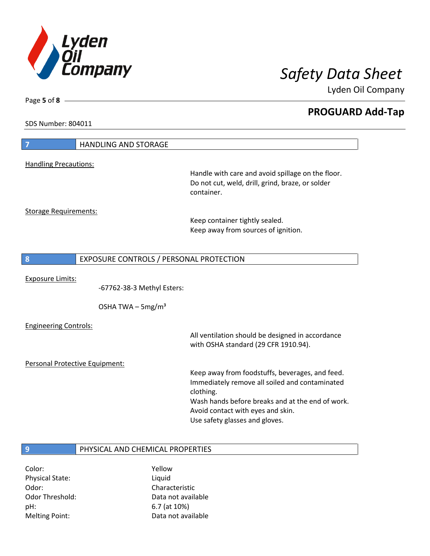

**PROGUARD Add-Tap**

SDS Number: 804011

Page **5** of **8**

| $\overline{7}$                 | <b>HANDLING AND STORAGE</b>             |                                                                                                       |
|--------------------------------|-----------------------------------------|-------------------------------------------------------------------------------------------------------|
|                                |                                         |                                                                                                       |
| <b>Handling Precautions:</b>   |                                         |                                                                                                       |
|                                |                                         | Handle with care and avoid spillage on the floor.<br>Do not cut, weld, drill, grind, braze, or solder |
|                                |                                         | container.                                                                                            |
|                                |                                         |                                                                                                       |
| <b>Storage Requirements:</b>   |                                         |                                                                                                       |
|                                |                                         | Keep container tightly sealed.                                                                        |
|                                |                                         | Keep away from sources of ignition.                                                                   |
|                                |                                         |                                                                                                       |
|                                |                                         |                                                                                                       |
| 8                              | EXPOSURE CONTROLS / PERSONAL PROTECTION |                                                                                                       |
|                                |                                         |                                                                                                       |
| <b>Exposure Limits:</b>        |                                         |                                                                                                       |
|                                | -67762-38-3 Methyl Esters:              |                                                                                                       |
|                                |                                         |                                                                                                       |
|                                | OSHA TWA $-$ 5mg/m <sup>3</sup>         |                                                                                                       |
| <b>Engineering Controls:</b>   |                                         |                                                                                                       |
|                                |                                         | All ventilation should be designed in accordance                                                      |
|                                |                                         | with OSHA standard (29 CFR 1910.94).                                                                  |
|                                |                                         |                                                                                                       |
| Personal Protective Equipment: |                                         |                                                                                                       |
|                                |                                         | Keep away from foodstuffs, beverages, and feed.                                                       |
|                                |                                         | Immediately remove all soiled and contaminated                                                        |
|                                |                                         | clothing.                                                                                             |
|                                |                                         | Wash hands before breaks and at the end of work.                                                      |
|                                |                                         | Avoid contact with eyes and skin.                                                                     |
|                                |                                         | Use safety glasses and gloves.                                                                        |
|                                |                                         |                                                                                                       |
|                                |                                         |                                                                                                       |
| 9                              | PHYSICAL AND CHEMICAL PROPERTIES        |                                                                                                       |

Color: Yellow Physical State: Liquid Odor: Characteristic pH: 6.7 (at 10%)

Odor Threshold: Data not available Melting Point: Case Controller Muslim Data not available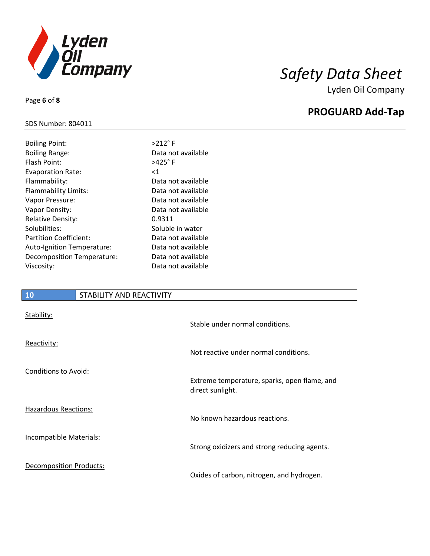

**PROGUARD Add-Tap**

### SDS Number: 804011

Page **6** of **8**

| <b>Boiling Point:</b>         | $>212$ °F          |
|-------------------------------|--------------------|
| <b>Boiling Range:</b>         | Data not available |
| Flash Point:                  | $>425^\circ$ F     |
| <b>Evaporation Rate:</b>      | ${<}1$             |
| Flammability:                 | Data not available |
| Flammability Limits:          | Data not available |
| Vapor Pressure:               | Data not available |
| Vapor Density:                | Data not available |
| <b>Relative Density:</b>      | 0.9311             |
| Solubilities:                 | Soluble in water   |
| <b>Partition Coefficient:</b> | Data not available |
| Auto-Ignition Temperature:    | Data not available |
| Decomposition Temperature:    | Data not available |
| Viscosity:                    | Data not available |
|                               |                    |

## **10** STABILITY AND REACTIVITY

| Stability:                     | Stable under normal conditions.                                  |
|--------------------------------|------------------------------------------------------------------|
| Reactivity:                    | Not reactive under normal conditions.                            |
| Conditions to Avoid:           | Extreme temperature, sparks, open flame, and<br>direct sunlight. |
| <b>Hazardous Reactions:</b>    | No known hazardous reactions.                                    |
| Incompatible Materials:        | Strong oxidizers and strong reducing agents.                     |
| <b>Decomposition Products:</b> | Oxides of carbon, nitrogen, and hydrogen.                        |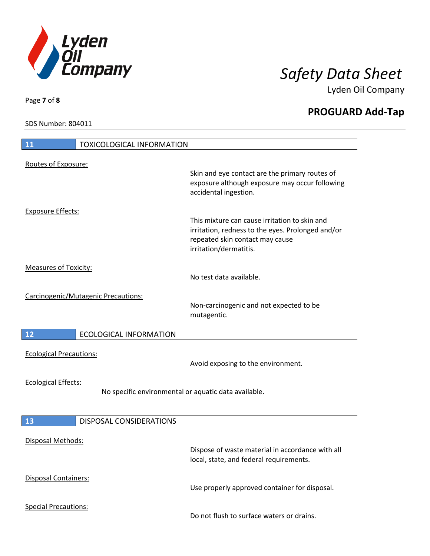

**PROGUARD Add-Tap**

SDS Number: 804011

Page **7** of **8**

| 11                                  | <b>TOXICOLOGICAL INFORMATION</b>                     |                                                                                                                                                                 |
|-------------------------------------|------------------------------------------------------|-----------------------------------------------------------------------------------------------------------------------------------------------------------------|
| Routes of Exposure:                 |                                                      | Skin and eye contact are the primary routes of<br>exposure although exposure may occur following<br>accidental ingestion.                                       |
| <b>Exposure Effects:</b>            |                                                      | This mixture can cause irritation to skin and<br>irritation, redness to the eyes. Prolonged and/or<br>repeated skin contact may cause<br>irritation/dermatitis. |
| <b>Measures of Toxicity:</b>        |                                                      | No test data available.                                                                                                                                         |
| Carcinogenic/Mutagenic Precautions: |                                                      | Non-carcinogenic and not expected to be<br>mutagentic.                                                                                                          |
| 12                                  | <b>ECOLOGICAL INFORMATION</b>                        |                                                                                                                                                                 |
| <b>Ecological Precautions:</b>      |                                                      | Avoid exposing to the environment.                                                                                                                              |
|                                     |                                                      |                                                                                                                                                                 |
| <b>Ecological Effects:</b>          | No specific environmental or aquatic data available. |                                                                                                                                                                 |
| 13                                  | <b>DISPOSAL CONSIDERATIONS</b>                       |                                                                                                                                                                 |
| <b>Disposal Methods:</b>            |                                                      | Dispose of waste material in accordance with all<br>local, state, and federal requirements.                                                                     |
| Disposal Containers:                |                                                      | Use properly approved container for disposal.                                                                                                                   |